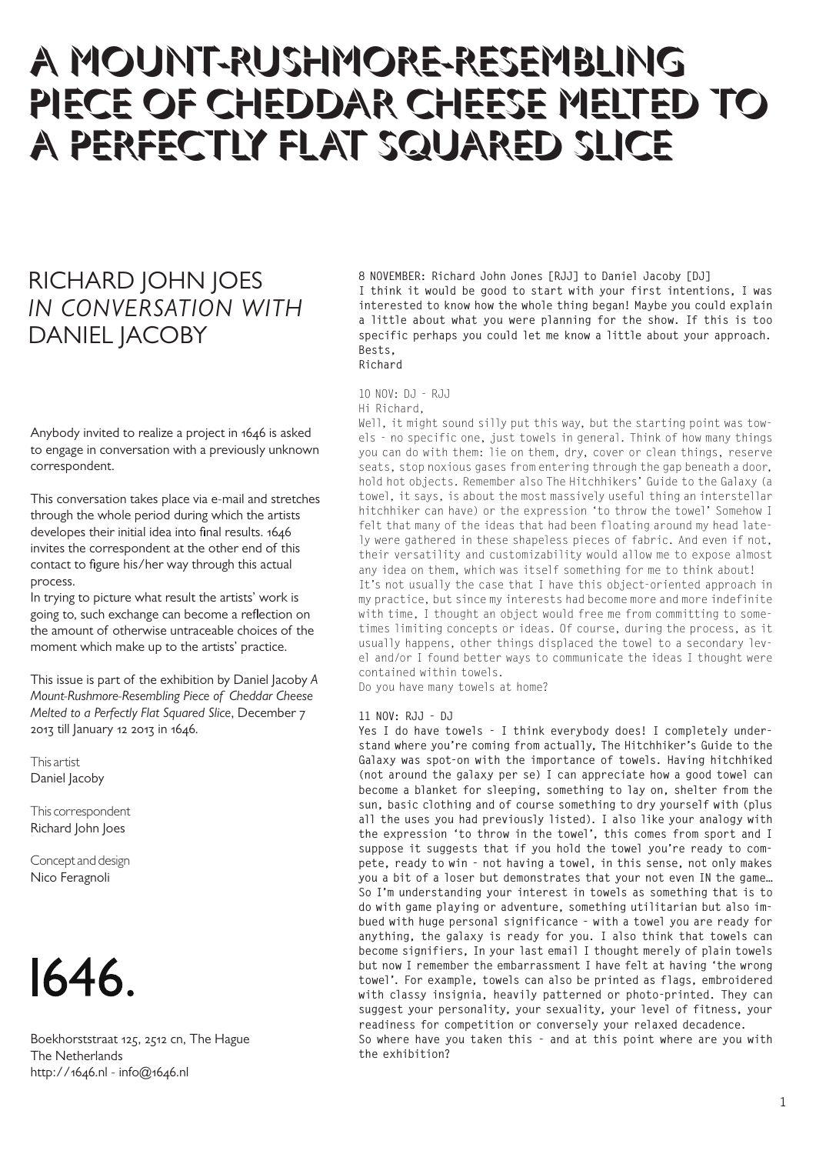# A MOUNT-RUSHMORE-RESEMBLING PIECE OF CHEDDAR CHEESE MELTED TO A PERFECTLY FLAT SQUARED SLICE

## RICHARD JOHN JOES *IN CONVERSATION WITH* DANIEL JACOBY

Anybody invited to realize a project in 1646 is asked to engage in conversation with a previously unknown correspondent.

This conversation takes place via e-mail and stretches through the whole period during which the artists developes their initial idea into final results. 1646 invites the correspondent at the other end of this contact to figure his/her way through this actual process.

In trying to picture what result the artists' work is going to, such exchange can become a reflection on the amount of otherwise untraceable choices of the moment which make up to the artists' practice.

This issue is part of the exhibition by Daniel Jacoby *A Mount-Rushmore-Resembling Piece of Cheddar Cheese Melted to a Perfectly Flat Squared Slice*, December 7 2013 till January 12 2013 in 1646.

This artist Daniel Jacoby

This correspondent Richard John Joes

Concept and design Nico Feragnoli



Boekhorststraat 125, 2512 cn, The Hague The Netherlands http://1646.nl - info@1646.nl

**8 NOVEMBER: Richard John Jones [RJJ] to Daniel Jacoby [DJ] I think it would be good to start with your first intentions, I was interested to know how the whole thing began! Maybe you could explain a little about what you were planning for the show. If this is too specific perhaps you could let me know a little about your approach. Bests, Richard**

### 10 NOV: DJ - RJJ

#### Hi Richard,

Well, it might sound silly put this way, but the starting point was towels - no specific one, just towels in general. Think of how many things you can do with them: lie on them, dry, cover or clean things, reserve seats, stop noxious gases from entering through the gap beneath a door, hold hot objects. Remember also The Hitchhikers' Guide to the Galaxy (a towel, it says, is about the most massively useful thing an interstellar hitchhiker can have) or the expression 'to throw the towel' Somehow I felt that many of the ideas that had been floating around my head lately were gathered in these shapeless pieces of fabric. And even if not, their versatility and customizability would allow me to expose almost any idea on them, which was itself something for me to think about! It's not usually the case that I have this object-oriented approach in my practice, but since my interests had become more and more indefinite with time, I thought an object would free me from committing to sometimes limiting concepts or ideas. Of course, during the process, as it usually happens, other things displaced the towel to a secondary level and/or I found better ways to communicate the ideas I thought were contained within towels.

Do you have many towels at home?

#### **11 NOV: RJJ - DJ**

**Yes I do have towels - I think everybody does! I completely understand where you're coming from actually, The Hitchhiker's Guide to the Galaxy was spot-on with the importance of towels. Having hitchhiked (not around the galaxy per se) I can appreciate how a good towel can become a blanket for sleeping, something to lay on, shelter from the sun, basic clothing and of course something to dry yourself with (plus all the uses you had previously listed). I also like your analogy with the expression 'to throw in the towel', this comes from sport and I suppose it suggests that if you hold the towel you're ready to compete, ready to win - not having a towel, in this sense, not only makes you a bit of a loser but demonstrates that your not even IN the game… So I'm understanding your interest in towels as something that is to do with game playing or adventure, something utilitarian but also imbued with huge personal significance - with a towel you are ready for anything, the galaxy is ready for you. I also think that towels can become signifiers, In your last email I thought merely of plain towels but now I remember the embarrassment I have felt at having 'the wrong towel'. For example, towels can also be printed as flags, embroidered with classy insignia, heavily patterned or photo-printed. They can suggest your personality, your sexuality, your level of fitness, your readiness for competition or conversely your relaxed decadence.**

**So where have you taken this - and at this point where are you with the exhibition?**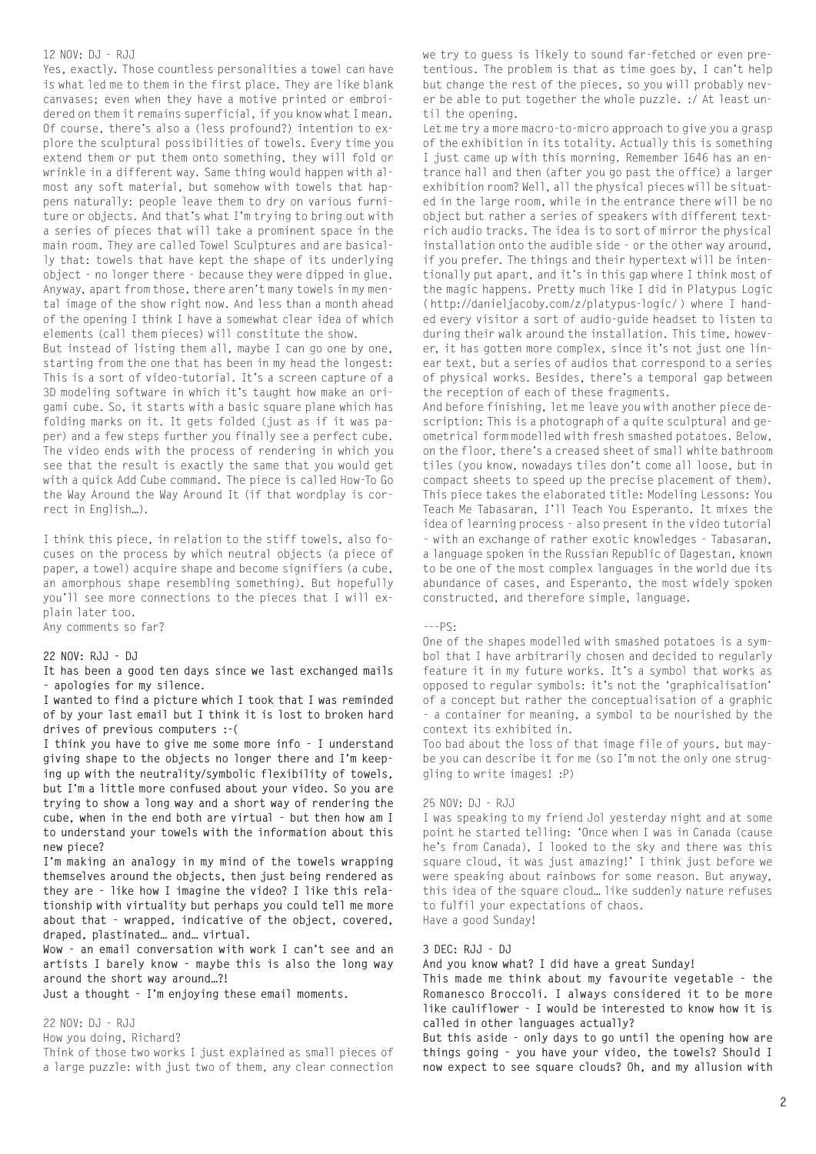#### 12 NOV: DJ - RJJ

Yes, exactly. Those countless personalities a towel can have is what led me to them in the first place. They are like blank canvases; even when they have a motive printed or embroidered on them it remains superficial, if you know what I mean. Of course, there's also a (less profound?) intention to explore the sculptural possibilities of towels. Every time you extend them or put them onto something, they will fold or wrinkle in a different way. Same thing would happen with almost any soft material, but somehow with towels that happens naturally: people leave them to dry on various furniture or objects. And that's what I'm trying to bring out with a series of pieces that will take a prominent space in the main room. They are called Towel Sculptures and are basically that: towels that have kept the shape of its underlying object - no longer there - because they were dipped in glue. Anyway, apart from those, there aren't many towels in my mental image of the show right now. And less than a month ahead of the opening I think I have a somewhat clear idea of which elements (call them pieces) will constitute the show.

But instead of listing them all, maybe I can go one by one, starting from the one that has been in my head the longest: This is a sort of video-tutorial. It's a screen capture of a 3D modeling software in which it's taught how make an origami cube. So, it starts with a basic square plane which has folding marks on it. It gets folded (just as if it was paper) and a few steps further you finally see a perfect cube. The video ends with the process of rendering in which you see that the result is exactly the same that you would get with a quick Add Cube command. The piece is called How-To Go the Way Around the Way Around It (if that wordplay is correct in English…).

I think this piece, in relation to the stiff towels, also focuses on the process by which neutral objects (a piece of paper, a towel) acquire shape and become signifiers (a cube, an amorphous shape resembling something). But hopefully you'll see more connections to the pieces that I will explain later too.

Any comments so far?

**22 NOV: RJJ - DJ**

**It has been a good ten days since we last exchanged mails - apologies for my silence.**

**I wanted to find a picture which I took that I was reminded of by your last email but I think it is lost to broken hard drives of previous computers :-(**

**I think you have to give me some more info - I understand giving shape to the objects no longer there and I'm keeping up with the neutrality/symbolic flexibility of towels, but I'm a little more confused about your video. So you are trying to show a long way and a short way of rendering the cube, when in the end both are virtual - but then how am I to understand your towels with the information about this new piece?**

**I'm making an analogy in my mind of the towels wrapping themselves around the objects, then just being rendered as they are - like how I imagine the video? I like this relationship with virtuality but perhaps you could tell me more about that - wrapped, indicative of the object, covered, draped, plastinated… and… virtual.**

**Wow - an email conversation with work I can't see and an artists I barely know - maybe this is also the long way around the short way around…?!**

**Just a thought - I'm enjoying these email moments.**

22 NOV: DJ - RJJ

How you doing, Richard?

Think of those two works I just explained as small pieces of a large puzzle: with just two of them, any clear connection we try to guess is likely to sound far-fetched or even pretentious. The problem is that as time goes by, I can't help but change the rest of the pieces, so you will probably never be able to put together the whole puzzle. :/ At least until the opening.

Let me try a more macro-to-micro approach to give you a grasp of the exhibition in its totality. Actually this is something I just came up with this morning. Remember 1646 has an entrance hall and then (after you go past the office) a larger exhibition room? Well, all the physical pieces will be situated in the large room, while in the entrance there will be no object but rather a series of speakers with different textrich audio tracks. The idea is to sort of mirror the physical installation onto the audible side - or the other way around, if you prefer. The things and their hypertext will be intentionally put apart, and it's in this gap where I think most of the magic happens. Pretty much like I did in Platypus Logic (http://danieljacoby.com/z/platypus-logic/) where I handed every visitor a sort of audio-guide headset to listen to during their walk around the installation. This time, however, it has gotten more complex, since it's not just one linear text, but a series of audios that correspond to a series of physical works. Besides, there's a temporal gap between the reception of each of these fragments.

And before finishing, let me leave you with another piece description: This is a photograph of a quite sculptural and geometrical form modelled with fresh smashed potatoes. Below, on the floor, there's a creased sheet of small white bathroom tiles (you know, nowadays tiles don't come all loose, but in compact sheets to speed up the precise placement of them). This piece takes the elaborated title: Modeling Lessons: You Teach Me Tabasaran, I'll Teach You Esperanto. It mixes the idea of learning process - also present in the video tutorial - with an exchange of rather exotic knowledges - Tabasaran, a language spoken in the Russian Republic of Dagestan, known to be one of the most complex languages in the world due its abundance of cases, and Esperanto, the most widely spoken constructed, and therefore simple, language.

#### $---PS:$

One of the shapes modelled with smashed potatoes is a symbol that I have arbitrarily chosen and decided to regularly feature it in my future works. It's a symbol that works as opposed to regular symbols: it's not the 'graphicalisation' of a concept but rather the conceptualisation of a graphic - a container for meaning, a symbol to be nourished by the context its exhibited in.

Too bad about the loss of that image file of yours, but maybe you can describe it for me (so I'm not the only one struggling to write images! :P)

#### 25 NOV: DJ - RJJ

I was speaking to my friend Jol yesterday night and at some point he started telling: 'Once when I was in Canada (cause he's from Canada), I looked to the sky and there was this square cloud, it was just amazing!' I think just before we were speaking about rainbows for some reason. But anyway, this idea of the square cloud… like suddenly nature refuses to fulfil your expectations of chaos. Have a good Sunday!

#### **3 DEC: RJJ - DJ**

**And you know what? I did have a great Sunday!**

**This made me think about my favourite vegetable - the Romanesco Broccoli. I always considered it to be more like cauliflower - I would be interested to know how it is called in other languages actually?**

**But this aside - only days to go until the opening how are things going - you have your video, the towels? Should I now expect to see square clouds? Oh, and my allusion with**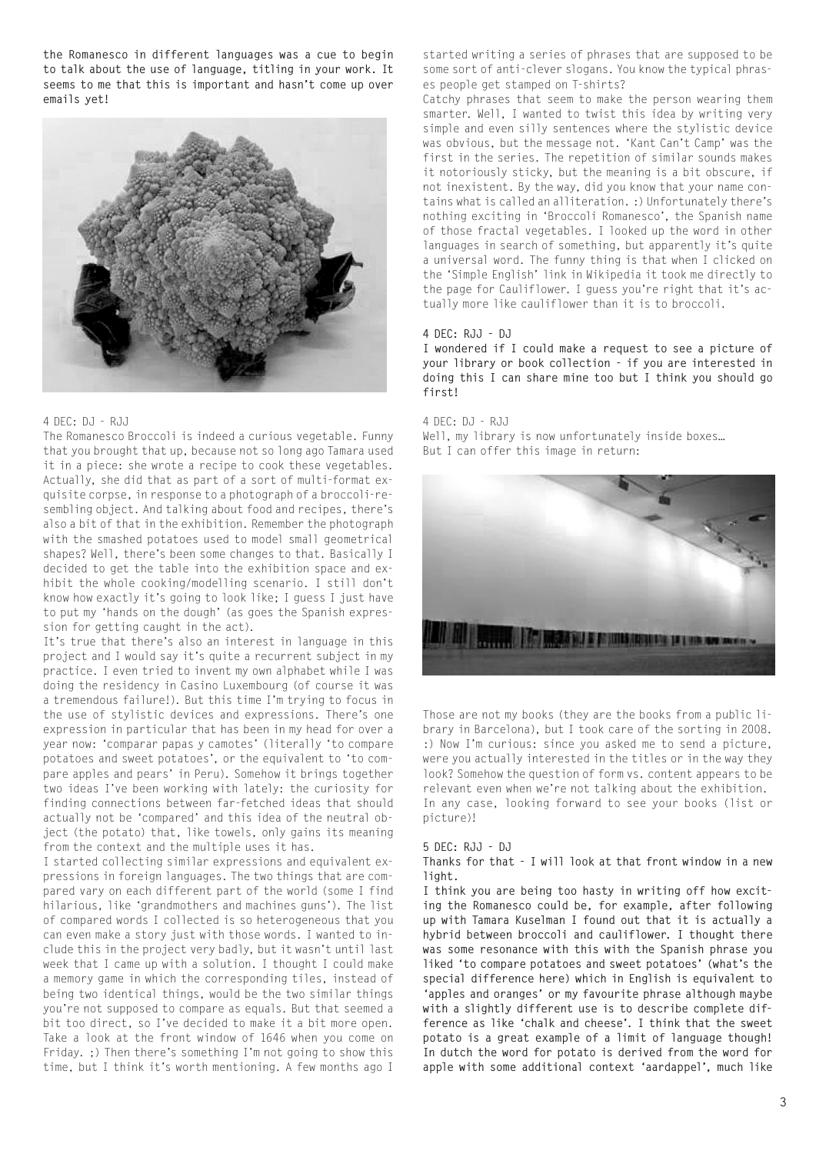**the Romanesco in different languages was a cue to begin to talk about the use of language, titling in your work. It seems to me that this is important and hasn't come up over emails yet!**



#### 4 DEC: DJ - RJJ

The Romanesco Broccoli is indeed a curious vegetable. Funny that you brought that up, because not so long ago Tamara used it in a piece: she wrote a recipe to cook these vegetables. Actually, she did that as part of a sort of multi-format exquisite corpse, in response to a photograph of a broccoli-resembling object. And talking about food and recipes, there's also a bit of that in the exhibition. Remember the photograph with the smashed potatoes used to model small geometrical shapes? Well, there's been some changes to that. Basically I decided to get the table into the exhibition space and exhibit the whole cooking/modelling scenario. I still don't know how exactly it's going to look like; I guess I just have to put my 'hands on the dough' (as goes the Spanish expression for getting caught in the act).

It's true that there's also an interest in language in this project and I would say it's quite a recurrent subject in my practice. I even tried to invent my own alphabet while I was doing the residency in Casino Luxembourg (of course it was a tremendous failure!). But this time I'm trying to focus in the use of stylistic devices and expressions. There's one expression in particular that has been in my head for over a year now: 'comparar papas y camotes' (literally 'to compare potatoes and sweet potatoes', or the equivalent to 'to compare apples and pears' in Peru). Somehow it brings together two ideas I've been working with lately: the curiosity for finding connections between far-fetched ideas that should actually not be 'compared' and this idea of the neutral object (the potato) that, like towels, only gains its meaning from the context and the multiple uses it has.

I started collecting similar expressions and equivalent expressions in foreign languages. The two things that are compared vary on each different part of the world (some I find hilarious, like 'grandmothers and machines guns'). The list of compared words I collected is so heterogeneous that you can even make a story just with those words. I wanted to include this in the project very badly, but it wasn't until last week that I came up with a solution. I thought I could make a memory game in which the corresponding tiles, instead of being two identical things, would be the two similar things you're not supposed to compare as equals. But that seemed a bit too direct, so I've decided to make it a bit more open. Take a look at the front window of 1646 when you come on Friday. ;) Then there's something I'm not going to show this time, but I think it's worth mentioning. A few months ago I

started writing a series of phrases that are supposed to be some sort of anti-clever slogans. You know the typical phrases people get stamped on T-shirts?

Catchy phrases that seem to make the person wearing them smarter. Well, I wanted to twist this idea by writing very simple and even silly sentences where the stylistic device was obvious, but the message not. 'Kant Can't Camp' was the first in the series. The repetition of similar sounds makes it notoriously sticky, but the meaning is a bit obscure, if not inexistent. By the way, did you know that your name contains what is called an alliteration. :) Unfortunately there's nothing exciting in 'Broccoli Romanesco', the Spanish name of those fractal vegetables. I looked up the word in other languages in search of something, but apparently it's quite a universal word. The funny thing is that when I clicked on the 'Simple English' link in Wikipedia it took me directly to the page for Cauliflower. I guess you're right that it's actually more like cauliflower than it is to broccoli.

#### **4 DEC: RJJ - DJ**

**I wondered if I could make a request to see a picture of your library or book collection - if you are interested in doing this I can share mine too but I think you should go first!**

4 DEC: DJ - RJJ

Well, my library is now unfortunately inside boxes... But I can offer this image in return:



Those are not my books (they are the books from a public library in Barcelona), but I took care of the sorting in 2008. :) Now I'm curious: since you asked me to send a picture, were you actually interested in the titles or in the way they look? Somehow the question of form vs. content appears to be relevant even when we're not talking about the exhibition. In any case, looking forward to see your books (list or picture)!

#### **5 DEC: RJJ - DJ**

**Thanks for that - I will look at that front window in a new light.**

**I think you are being too hasty in writing off how exciting the Romanesco could be, for example, after following up with Tamara Kuselman I found out that it is actually a hybrid between broccoli and cauliflower. I thought there was some resonance with this with the Spanish phrase you liked 'to compare potatoes and sweet potatoes' (what's the special difference here) which in English is equivalent to 'apples and oranges' or my favourite phrase although maybe with a slightly different use is to describe complete difference as like 'chalk and cheese'. I think that the sweet potato is a great example of a limit of language though! In dutch the word for potato is derived from the word for apple with some additional context 'aardappel', much like**